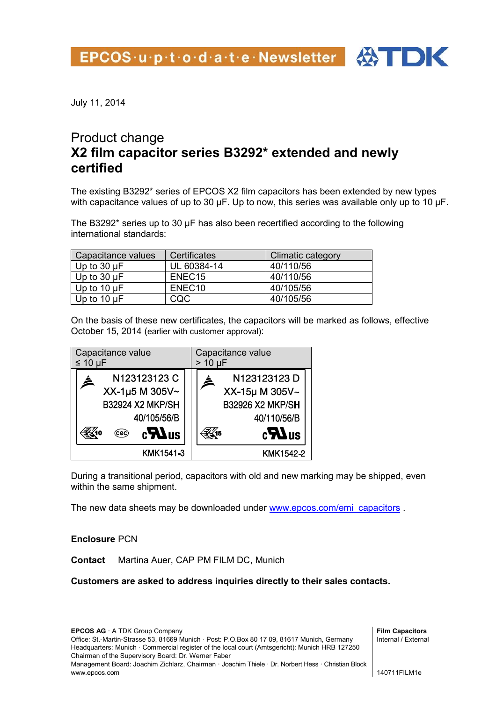

## Product change **X2 film capacitor series B3292\* extended and newly certified**

The existing B3292\* series of EPCOS X2 film capacitors has been extended by new types with capacitance values of up to 30 µF. Up to now, this series was available only up to 10 µF.

The B3292\* series up to 30 µF has also been recertified according to the following international standards:

| Capacitance values | Certificates       | <b>Climatic category</b> |
|--------------------|--------------------|--------------------------|
| Up to $30 \mu F$   | UL 60384-14        | 40/110/56                |
| Up to $30 \mu F$   | ENEC <sub>15</sub> | 40/110/56                |
| Up to $10 \mu F$   | ENEC <sub>10</sub> | 40/105/56                |
| Up to $10 \mu F$   | CQC                | 40/105/56                |

On the basis of these new certificates, the capacitors will be marked as follows, effective October 15, 2014 (earlier with customer approval):



During a transitional period, capacitors with old and new marking may be shipped, even within the same shipment.

The new data sheets may be downloaded under [www.epcos.com/emi\\_capacitors](http://www.epcos.com/emi_capacitors) .

## **Enclosure** PCN

**Contact** Martina Auer, CAP PM FILM DC, Munich

**Customers are asked to address inquiries directly to their sales contacts.**

**EPCOS AG** · A TDK Group Company Office: St.-Martin-Strasse 53, 81669 Munich · Post: P.O.Box 80 17 09, 81617 Munich, Germany Headquarters: Munich · Commercial register of the local court (Amtsgericht): Munich HRB 127250 Chairman of the Supervisory Board: Dr. Werner Faber Management Board: Joachim Zichlarz, Chairman · Joachim Thiele · Dr. Norbert Hess · Christian Block www.epcos.com

**Film Capacitors** Internal / External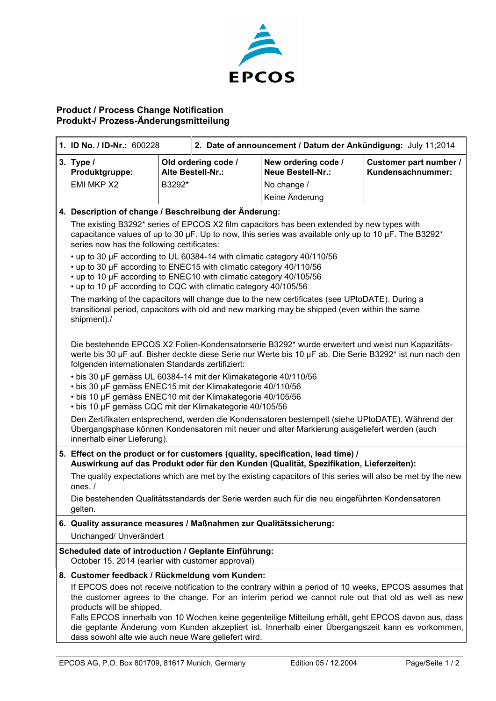

## **Product / Process Change Notification Produkt-/ Prozess-Änderungsmitteilung**

| 1. ID No. / ID-Nr.: 600228                                                                                                                                                                                                                                                                                                                                                                                                                                                                                                                                       |                                                                                                              | 2. Date of announcement / Datum der Ankündigung: July 11;2014 |                                             |  |
|------------------------------------------------------------------------------------------------------------------------------------------------------------------------------------------------------------------------------------------------------------------------------------------------------------------------------------------------------------------------------------------------------------------------------------------------------------------------------------------------------------------------------------------------------------------|--------------------------------------------------------------------------------------------------------------|---------------------------------------------------------------|---------------------------------------------|--|
| 3. Type $/$<br>Produktgruppe:                                                                                                                                                                                                                                                                                                                                                                                                                                                                                                                                    | Old ordering code /<br>Alte Bestell-Nr.:                                                                     | New ordering code /<br><b>Neue Bestell-Nr.:</b>               | Customer part number /<br>Kundensachnummer: |  |
| EMI MKP X2                                                                                                                                                                                                                                                                                                                                                                                                                                                                                                                                                       | B3292*                                                                                                       | No change /                                                   |                                             |  |
|                                                                                                                                                                                                                                                                                                                                                                                                                                                                                                                                                                  |                                                                                                              | Keine Änderung                                                |                                             |  |
| 4. Description of change / Beschreibung der Änderung:                                                                                                                                                                                                                                                                                                                                                                                                                                                                                                            |                                                                                                              |                                                               |                                             |  |
| The existing B3292* series of EPCOS X2 film capacitors has been extended by new types with<br>capacitance values of up to 30 $\mu$ F. Up to now, this series was available only up to 10 $\mu$ F. The B3292*<br>series now has the following certificates:                                                                                                                                                                                                                                                                                                       |                                                                                                              |                                                               |                                             |  |
| • up to 30 µF according to UL 60384-14 with climatic category 40/110/56<br>• up to 30 µF according to ENEC15 with climatic category 40/110/56<br>• up to 10 µF according to ENEC10 with climatic category 40/105/56<br>• up to 10 µF according to CQC with climatic category 40/105/56                                                                                                                                                                                                                                                                           |                                                                                                              |                                                               |                                             |  |
| The marking of the capacitors will change due to the new certificates (see UPtoDATE). During a<br>transitional period, capacitors with old and new marking may be shipped (even within the same<br>shipment)./                                                                                                                                                                                                                                                                                                                                                   |                                                                                                              |                                                               |                                             |  |
| Die bestehende EPCOS X2 Folien-Kondensatorserie B3292* wurde erweitert und weist nun Kapazitäts-<br>werte bis 30 µF auf. Bisher deckte diese Serie nur Werte bis 10 µF ab. Die Serie B3292* ist nun nach den<br>folgenden internationalen Standards zertifiziert:                                                                                                                                                                                                                                                                                                |                                                                                                              |                                                               |                                             |  |
| • bis 30 µF gemäss UL 60384-14 mit der Klimakategorie 40/110/56<br>• bis 30 µF gemäss ENEC15 mit der Klimakategorie 40/110/56<br>• bis 10 µF gemäss ENEC10 mit der Klimakategorie 40/105/56<br>• bis 10 µF gemäss CQC mit der Klimakategorie 40/105/56                                                                                                                                                                                                                                                                                                           |                                                                                                              |                                                               |                                             |  |
| Den Zertifikaten entsprechend, werden die Kondensatoren bestempelt (siehe UPtoDATE). Während der<br>Übergangsphase können Kondensatoren mit neuer und alter Markierung ausgeliefert werden (auch<br>innerhalb einer Lieferung).                                                                                                                                                                                                                                                                                                                                  |                                                                                                              |                                                               |                                             |  |
| 5. Effect on the product or for customers (quality, specification, lead time) /<br>Auswirkung auf das Produkt oder für den Kunden (Qualität, Spezifikation, Lieferzeiten):                                                                                                                                                                                                                                                                                                                                                                                       |                                                                                                              |                                                               |                                             |  |
| ones. $/$                                                                                                                                                                                                                                                                                                                                                                                                                                                                                                                                                        | The quality expectations which are met by the existing capacitors of this series will also be met by the new |                                                               |                                             |  |
| Die bestehenden Qualitätsstandards der Serie werden auch für die neu eingeführten Kondensatoren<br>gelten.                                                                                                                                                                                                                                                                                                                                                                                                                                                       |                                                                                                              |                                                               |                                             |  |
| 6. Quality assurance measures / Maßnahmen zur Qualitätssicherung:<br>Unchanged/ Unverändert                                                                                                                                                                                                                                                                                                                                                                                                                                                                      |                                                                                                              |                                                               |                                             |  |
| Scheduled date of introduction / Geplante Einführung:<br>October 15, 2014 (earlier with customer approval)                                                                                                                                                                                                                                                                                                                                                                                                                                                       |                                                                                                              |                                                               |                                             |  |
| 8. Customer feedback / Rückmeldung vom Kunden:<br>If EPCOS does not receive notification to the contrary within a period of 10 weeks, EPCOS assumes that<br>the customer agrees to the change. For an interim period we cannot rule out that old as well as new<br>products will be shipped.<br>Falls EPCOS innerhalb von 10 Wochen keine gegenteilige Mitteilung erhält, geht EPCOS davon aus, dass<br>die geplante Änderung vom Kunden akzeptiert ist. Innerhalb einer Übergangszeit kann es vorkommen,<br>dass sowohl alte wie auch neue Ware geliefert wird. |                                                                                                              |                                                               |                                             |  |
|                                                                                                                                                                                                                                                                                                                                                                                                                                                                                                                                                                  |                                                                                                              |                                                               |                                             |  |